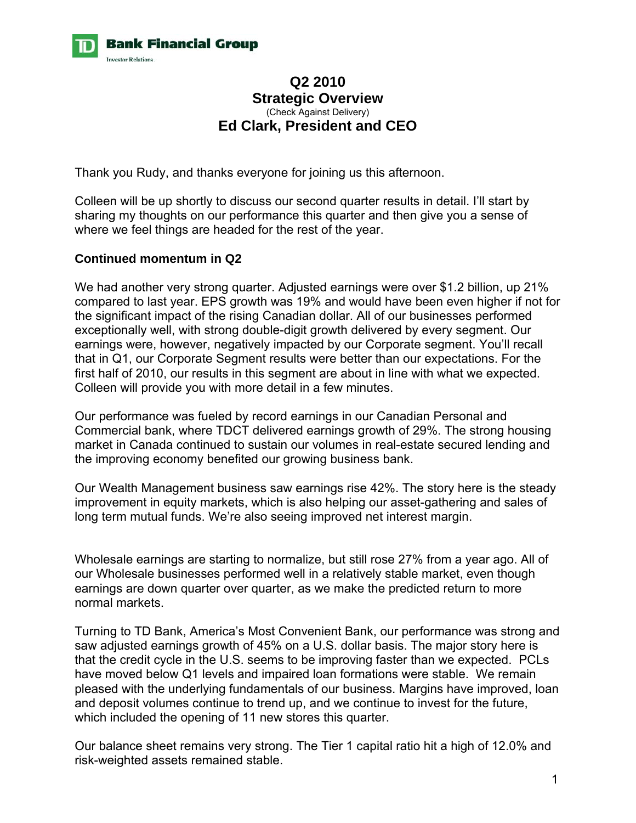

# **Q2 2010 Strategic Overview**  (Check Against Delivery) **Ed Clark, President and CEO**

Thank you Rudy, and thanks everyone for joining us this afternoon.

Colleen will be up shortly to discuss our second quarter results in detail. I'll start by sharing my thoughts on our performance this quarter and then give you a sense of where we feel things are headed for the rest of the year.

## **Continued momentum in Q2**

We had another very strong quarter. Adjusted earnings were over \$1.2 billion, up 21% compared to last year. EPS growth was 19% and would have been even higher if not for the significant impact of the rising Canadian dollar. All of our businesses performed exceptionally well, with strong double-digit growth delivered by every segment. Our earnings were, however, negatively impacted by our Corporate segment. You'll recall that in Q1, our Corporate Segment results were better than our expectations. For the first half of 2010, our results in this segment are about in line with what we expected. Colleen will provide you with more detail in a few minutes.

Our performance was fueled by record earnings in our Canadian Personal and Commercial bank, where TDCT delivered earnings growth of 29%. The strong housing market in Canada continued to sustain our volumes in real-estate secured lending and the improving economy benefited our growing business bank.

Our Wealth Management business saw earnings rise 42%. The story here is the steady improvement in equity markets, which is also helping our asset-gathering and sales of long term mutual funds. We're also seeing improved net interest margin.

Wholesale earnings are starting to normalize, but still rose 27% from a year ago. All of our Wholesale businesses performed well in a relatively stable market, even though earnings are down quarter over quarter, as we make the predicted return to more normal markets.

Turning to TD Bank, America's Most Convenient Bank, our performance was strong and saw adjusted earnings growth of 45% on a U.S. dollar basis. The major story here is that the credit cycle in the U.S. seems to be improving faster than we expected. PCLs have moved below Q1 levels and impaired loan formations were stable. We remain pleased with the underlying fundamentals of our business. Margins have improved, loan and deposit volumes continue to trend up, and we continue to invest for the future, which included the opening of 11 new stores this quarter.

Our balance sheet remains very strong. The Tier 1 capital ratio hit a high of 12.0% and risk-weighted assets remained stable.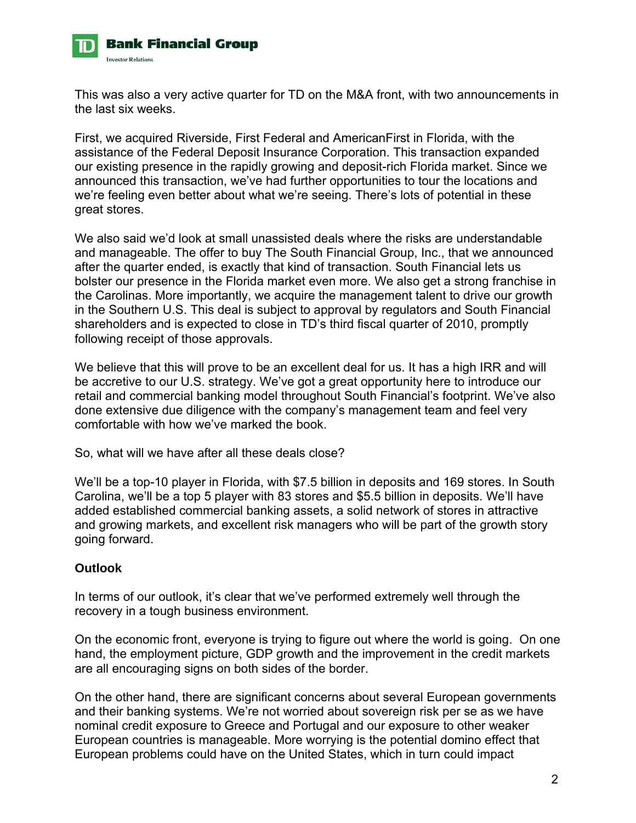

This was also a very active quarter for TD on the M&A front, with two announcements in the last six weeks.

First, we acquired Riverside, First Federal and AmericanFirst in Florida, with the assistance of the Federal Deposit Insurance Corporation. This transaction expanded our existing presence in the rapidly growing and deposit-rich Florida market. Since we announced this transaction, we've had further opportunities to tour the locations and we're feeling even better about what we're seeing. There's lots of potential in these great stores.

We also said we'd look at small unassisted deals where the risks are understandable and manageable. The offer to buy The South Financial Group, Inc., that we announced after the quarter ended, is exactly that kind of transaction. South Financial lets us bolster our presence in the Florida market even more. We also get a strong franchise in the Carolinas. More importantly, we acquire the management talent to drive our growth in the Southern U.S. This deal is subject to approval by regulators and South Financial shareholders and is expected to close in TD's third fiscal quarter of 2010, promptly following receipt of those approvals.

We believe that this will prove to be an excellent deal for us. It has a high IRR and will be accretive to our U.S. strategy. We've got a great opportunity here to introduce our retail and commercial banking model throughout South Financial's footprint. We've also done extensive due diligence with the company's management team and feel very comfortable with how we've marked the book.

So, what will we have after all these deals close?

We'll be a top-10 player in Florida, with \$7.5 billion in deposits and 169 stores. In South Carolina, we'll be a top 5 player with 83 stores and \$5.5 billion in deposits. We'll have added established commercial banking assets, a solid network of stores in attractive and growing markets, and excellent risk managers who will be part of the growth story going forward.

## **Outlook**

In terms of our outlook, it's clear that we've performed extremely well through the recovery in a tough business environment.

On the economic front, everyone is trying to figure out where the world is going. On one hand, the employment picture, GDP growth and the improvement in the credit markets are all encouraging signs on both sides of the border.

On the other hand, there are significant concerns about several European governments and their banking systems. We're not worried about sovereign risk per se as we have nominal credit exposure to Greece and Portugal and our exposure to other weaker European countries is manageable. More worrying is the potential domino effect that European problems could have on the United States, which in turn could impact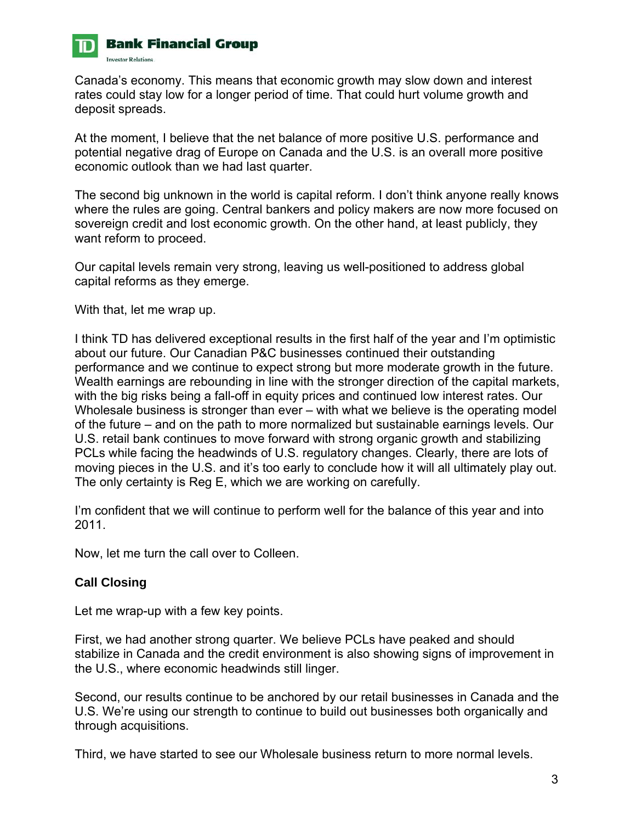

Canada's economy. This means that economic growth may slow down and interest rates could stay low for a longer period of time. That could hurt volume growth and deposit spreads.

At the moment, I believe that the net balance of more positive U.S. performance and potential negative drag of Europe on Canada and the U.S. is an overall more positive economic outlook than we had last quarter.

The second big unknown in the world is capital reform. I don't think anyone really knows where the rules are going. Central bankers and policy makers are now more focused on sovereign credit and lost economic growth. On the other hand, at least publicly, they want reform to proceed.

Our capital levels remain very strong, leaving us well-positioned to address global capital reforms as they emerge.

With that, let me wrap up.

I think TD has delivered exceptional results in the first half of the year and I'm optimistic about our future. Our Canadian P&C businesses continued their outstanding performance and we continue to expect strong but more moderate growth in the future. Wealth earnings are rebounding in line with the stronger direction of the capital markets, with the big risks being a fall-off in equity prices and continued low interest rates. Our Wholesale business is stronger than ever – with what we believe is the operating model of the future – and on the path to more normalized but sustainable earnings levels. Our U.S. retail bank continues to move forward with strong organic growth and stabilizing PCLs while facing the headwinds of U.S. regulatory changes. Clearly, there are lots of moving pieces in the U.S. and it's too early to conclude how it will all ultimately play out. The only certainty is Reg E, which we are working on carefully.

I'm confident that we will continue to perform well for the balance of this year and into 2011.

Now, let me turn the call over to Colleen.

# **Call Closing**

Let me wrap-up with a few key points.

First, we had another strong quarter. We believe PCLs have peaked and should stabilize in Canada and the credit environment is also showing signs of improvement in the U.S., where economic headwinds still linger.

Second, our results continue to be anchored by our retail businesses in Canada and the U.S. We're using our strength to continue to build out businesses both organically and through acquisitions.

Third, we have started to see our Wholesale business return to more normal levels.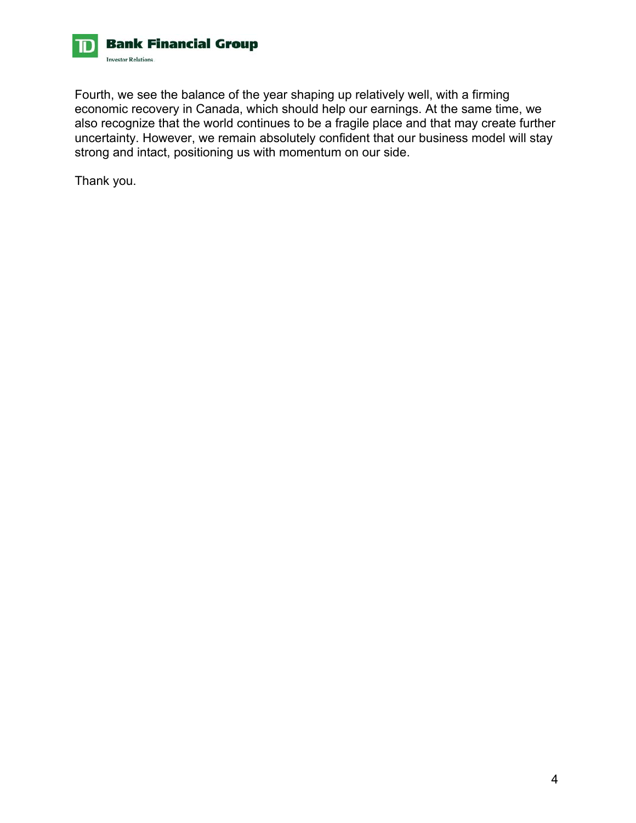

Fourth, we see the balance of the year shaping up relatively well, with a firming economic recovery in Canada, which should help our earnings. At the same time, we also recognize that the world continues to be a fragile place and that may create further uncertainty. However, we remain absolutely confident that our business model will stay strong and intact, positioning us with momentum on our side.

Thank you.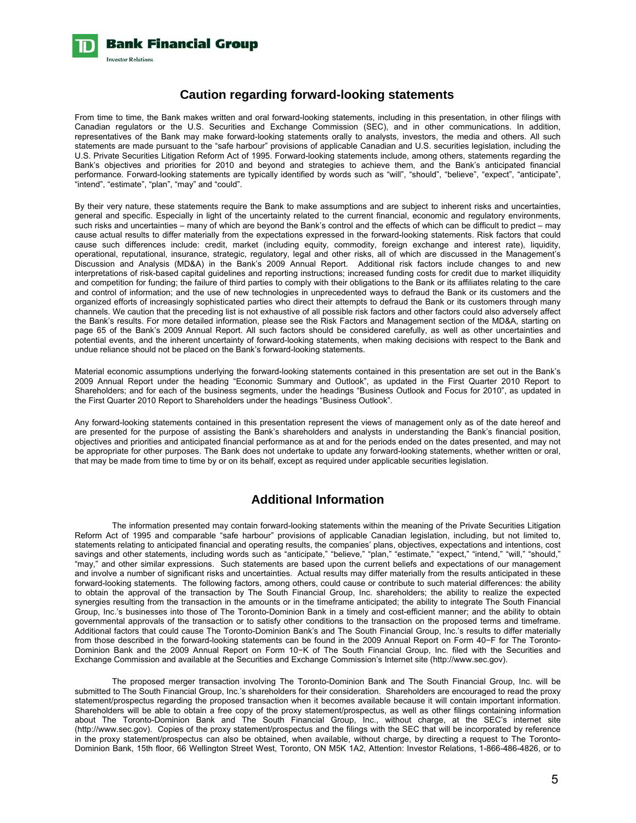

#### **Caution regarding forward-looking statements**

From time to time, the Bank makes written and oral forward-looking statements, including in this presentation, in other filings with Canadian regulators or the U.S. Securities and Exchange Commission (SEC), and in other communications. In addition, representatives of the Bank may make forward-looking statements orally to analysts, investors, the media and others. All such statements are made pursuant to the "safe harbour" provisions of applicable Canadian and U.S. securities legislation, including the U.S. Private Securities Litigation Reform Act of 1995. Forward-looking statements include, among others, statements regarding the Bank's objectives and priorities for 2010 and beyond and strategies to achieve them, and the Bank's anticipated financial performance. Forward-looking statements are typically identified by words such as "will", "should", "believe", "expect", "anticipate", "intend", "estimate", "plan", "may" and "could".

By their very nature, these statements require the Bank to make assumptions and are subject to inherent risks and uncertainties, general and specific. Especially in light of the uncertainty related to the current financial, economic and regulatory environments, such risks and uncertainties – many of which are beyond the Bank's control and the effects of which can be difficult to predict – may cause actual results to differ materially from the expectations expressed in the forward-looking statements. Risk factors that could cause such differences include: credit, market (including equity, commodity, foreign exchange and interest rate), liquidity, operational, reputational, insurance, strategic, regulatory, legal and other risks, all of which are discussed in the Management's Discussion and Analysis (MD&A) in the Bank's 2009 Annual Report. Additional risk factors include changes to and new interpretations of risk-based capital guidelines and reporting instructions; increased funding costs for credit due to market illiquidity and competition for funding; the failure of third parties to comply with their obligations to the Bank or its affiliates relating to the care and control of information; and the use of new technologies in unprecedented ways to defraud the Bank or its customers and the organized efforts of increasingly sophisticated parties who direct their attempts to defraud the Bank or its customers through many channels. We caution that the preceding list is not exhaustive of all possible risk factors and other factors could also adversely affect the Bank's results. For more detailed information, please see the Risk Factors and Management section of the MD&A, starting on page 65 of the Bank's 2009 Annual Report. All such factors should be considered carefully, as well as other uncertainties and potential events, and the inherent uncertainty of forward-looking statements, when making decisions with respect to the Bank and undue reliance should not be placed on the Bank's forward-looking statements.

Material economic assumptions underlying the forward-looking statements contained in this presentation are set out in the Bank's 2009 Annual Report under the heading "Economic Summary and Outlook", as updated in the First Quarter 2010 Report to Shareholders; and for each of the business segments, under the headings "Business Outlook and Focus for 2010", as updated in the First Quarter 2010 Report to Shareholders under the headings "Business Outlook".

Any forward-looking statements contained in this presentation represent the views of management only as of the date hereof and are presented for the purpose of assisting the Bank's shareholders and analysts in understanding the Bank's financial position, objectives and priorities and anticipated financial performance as at and for the periods ended on the dates presented, and may not be appropriate for other purposes. The Bank does not undertake to update any forward-looking statements, whether written or oral, that may be made from time to time by or on its behalf, except as required under applicable securities legislation.

#### **Additional Information**

The information presented may contain forward-looking statements within the meaning of the Private Securities Litigation Reform Act of 1995 and comparable "safe harbour" provisions of applicable Canadian legislation, including, but not limited to, statements relating to anticipated financial and operating results, the companies' plans, objectives, expectations and intentions, cost savings and other statements, including words such as "anticipate," "believe," "plan," "estimate," "expect," "intend," "will," "should," "may," and other similar expressions. Such statements are based upon the current beliefs and expectations of our management and involve a number of significant risks and uncertainties. Actual results may differ materially from the results anticipated in these forward-looking statements. The following factors, among others, could cause or contribute to such material differences: the ability to obtain the approval of the transaction by The South Financial Group, Inc. shareholders; the ability to realize the expected synergies resulting from the transaction in the amounts or in the timeframe anticipated; the ability to integrate The South Financial Group, Inc.'s businesses into those of The Toronto-Dominion Bank in a timely and cost-efficient manner; and the ability to obtain governmental approvals of the transaction or to satisfy other conditions to the transaction on the proposed terms and timeframe. Additional factors that could cause The Toronto-Dominion Bank's and The South Financial Group, Inc.'s results to differ materially from those described in the forward-looking statements can be found in the 2009 Annual Report on Form 40−F for The Toronto-Dominion Bank and the 2009 Annual Report on Form 10−K of The South Financial Group, Inc. filed with the Securities and Exchange Commission and available at the Securities and Exchange Commission's Internet site (http://www.sec.gov).

The proposed merger transaction involving The Toronto-Dominion Bank and The South Financial Group, Inc. will be submitted to The South Financial Group, Inc.'s shareholders for their consideration. Shareholders are encouraged to read the proxy statement/prospectus regarding the proposed transaction when it becomes available because it will contain important information. Shareholders will be able to obtain a free copy of the proxy statement/prospectus, as well as other filings containing information about The Toronto-Dominion Bank and The South Financial Group, Inc., without charge, at the SEC's internet site (http://www.sec.gov). Copies of the proxy statement/prospectus and the filings with the SEC that will be incorporated by reference in the proxy statement/prospectus can also be obtained, when available, without charge, by directing a request to The Toronto-Dominion Bank, 15th floor, 66 Wellington Street West, Toronto, ON M5K 1A2, Attention: Investor Relations, 1-866-486-4826, or to